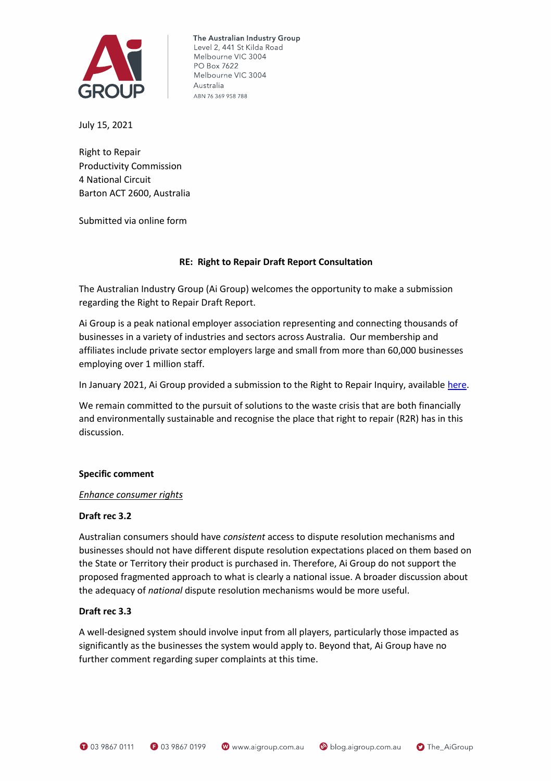

The Australian Industry Group Level 2, 441 St Kilda Road Melbourne VIC 3004 PO Box 7622 Melbourne VIC 3004 Australia ABN 76 369 958 788

July 15, 2021

Right to Repair Productivity Commission 4 National Circuit Barton ACT 2600, Australia

Submitted via online form

### **RE: Right to Repair Draft Report Consultation**

The Australian Industry Group (Ai Group) welcomes the opportunity to make a submission regarding the Right to Repair Draft Report.

Ai Group is a peak national employer association representing and connecting thousands of businesses in a variety of industries and sectors across Australia. Our membership and affiliates include private sector employers large and small from more than 60,000 businesses employing over 1 million staff.

In January 2021, Ai Group provided a submission to the Right to Repair Inquiry, available [here.](https://cdn.aigroup.com.au/Submissions/General/2021/Right-to-Repair_2021.pdf)

We remain committed to the pursuit of solutions to the waste crisis that are both financially and environmentally sustainable and recognise the place that right to repair (R2R) has in this discussion.

### **Specific comment**

### *Enhance consumer rights*

### **Draft rec 3.2**

Australian consumers should have *consistent* access to dispute resolution mechanisms and businesses should not have different dispute resolution expectations placed on them based on the State or Territory their product is purchased in. Therefore, Ai Group do not support the proposed fragmented approach to what is clearly a national issue. A broader discussion about the adequacy of *national* dispute resolution mechanisms would be more useful.

### **Draft rec 3.3**

A well-designed system should involve input from all players, particularly those impacted as significantly as the businesses the system would apply to. Beyond that, Ai Group have no further comment regarding super complaints at this time.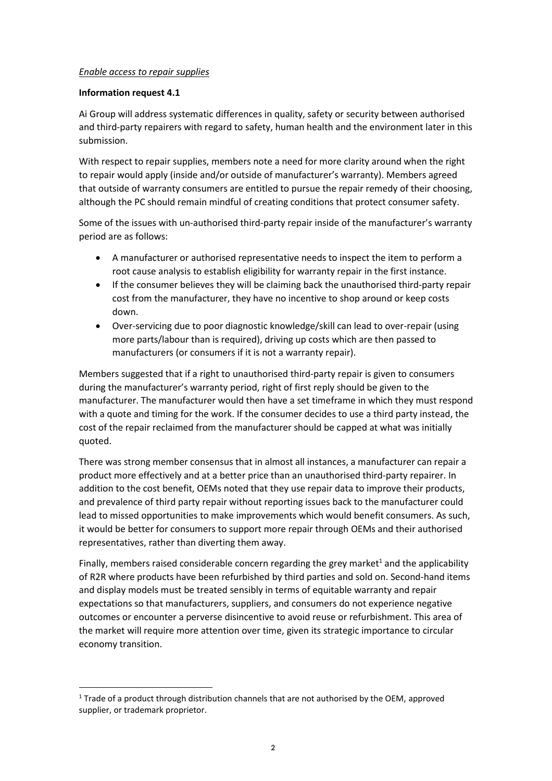## *Enable access to repair supplies*

## **Information request 4.1**

Ai Group will address systematic differences in quality, safety or security between authorised and third-party repairers with regard to safety, human health and the environment later in this submission.

With respect to repair supplies, members note a need for more clarity around when the right to repair would apply (inside and/or outside of manufacturer's warranty). Members agreed that outside of warranty consumers are entitled to pursue the repair remedy of their choosing, although the PC should remain mindful of creating conditions that protect consumer safety.

Some of the issues with un-authorised third-party repair inside of the manufacturer's warranty period are as follows:

- A manufacturer or authorised representative needs to inspect the item to perform a root cause analysis to establish eligibility for warranty repair in the first instance.
- If the consumer believes they will be claiming back the unauthorised third-party repair cost from the manufacturer, they have no incentive to shop around or keep costs down.
- Over-servicing due to poor diagnostic knowledge/skill can lead to over-repair (using more parts/labour than is required), driving up costs which are then passed to manufacturers (or consumers if it is not a warranty repair).

Members suggested that if a right to unauthorised third-party repair is given to consumers during the manufacturer's warranty period, right of first reply should be given to the manufacturer. The manufacturer would then have a set timeframe in which they must respond with a quote and timing for the work. If the consumer decides to use a third party instead, the cost of the repair reclaimed from the manufacturer should be capped at what was initially quoted.

There was strong member consensus that in almost all instances, a manufacturer can repair a product more effectively and at a better price than an unauthorised third-party repairer. In addition to the cost benefit, OEMs noted that they use repair data to improve their products, and prevalence of third party repair without reporting issues back to the manufacturer could lead to missed opportunities to make improvements which would benefit consumers. As such, it would be better for consumers to support more repair through OEMs and their authorised representatives, rather than diverting them away.

Finally, members raised considerable concern regarding the grey market<sup>1</sup> and the applicability of R2R where products have been refurbished by third parties and sold on. Second-hand items and display models must be treated sensibly in terms of equitable warranty and repair expectations so that manufacturers, suppliers, and consumers do not experience negative outcomes or encounter a perverse disincentive to avoid reuse or refurbishment. This area of the market will require more attention over time, given its strategic importance to circular economy transition.

<sup>1</sup> Trade of a product through distribution channels that are not authorised by the OEM, approved supplier, or trademark proprietor.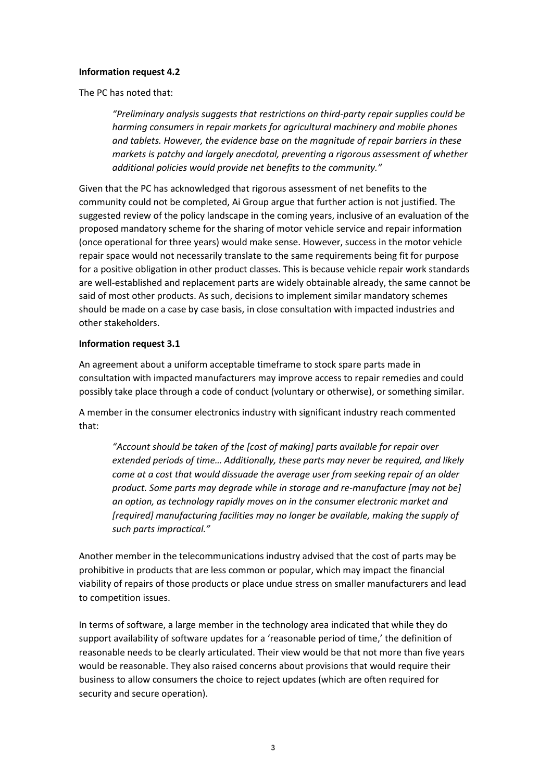### **Information request 4.2**

The PC has noted that:

*"Preliminary analysis suggests that restrictions on third-party repair supplies could be harming consumers in repair markets for agricultural machinery and mobile phones and tablets. However, the evidence base on the magnitude of repair barriers in these markets is patchy and largely anecdotal, preventing a rigorous assessment of whether additional policies would provide net benefits to the community."* 

Given that the PC has acknowledged that rigorous assessment of net benefits to the community could not be completed, Ai Group argue that further action is not justified. The suggested review of the policy landscape in the coming years, inclusive of an evaluation of the proposed mandatory scheme for the sharing of motor vehicle service and repair information (once operational for three years) would make sense. However, success in the motor vehicle repair space would not necessarily translate to the same requirements being fit for purpose for a positive obligation in other product classes. This is because vehicle repair work standards are well-established and replacement parts are widely obtainable already, the same cannot be said of most other products. As such, decisions to implement similar mandatory schemes should be made on a case by case basis, in close consultation with impacted industries and other stakeholders.

#### **Information request 3.1**

An agreement about a uniform acceptable timeframe to stock spare parts made in consultation with impacted manufacturers may improve access to repair remedies and could possibly take place through a code of conduct (voluntary or otherwise), or something similar.

A member in the consumer electronics industry with significant industry reach commented that:

*"Account should be taken of the [cost of making] parts available for repair over extended periods of time... Additionally, these parts may never be required, and likely come at a cost that would dissuade the average user from seeking repair of an older product. Some parts may degrade while in storage and re-manufacture [may not be] an option, as technology rapidly moves on in the consumer electronic market and [required] manufacturing facilities may no longer be available, making the supply of such parts impractical."*

Another member in the telecommunications industry advised that the cost of parts may be prohibitive in products that are less common or popular, which may impact the financial viability of repairs of those products or place undue stress on smaller manufacturers and lead to competition issues.

In terms of software, a large member in the technology area indicated that while they do support availability of software updates for a 'reasonable period of time,' the definition of reasonable needs to be clearly articulated. Their view would be that not more than five years would be reasonable. They also raised concerns about provisions that would require their business to allow consumers the choice to reject updates (which are often required for security and secure operation).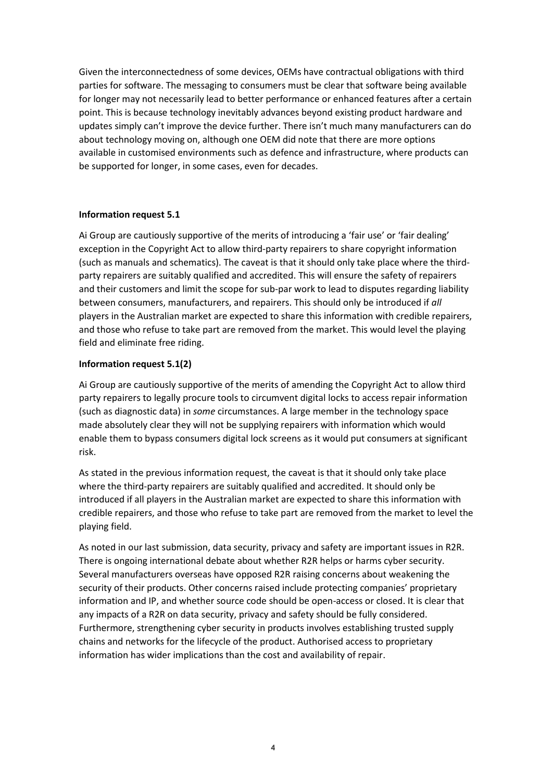Given the interconnectedness of some devices, OEMs have contractual obligations with third parties for software. The messaging to consumers must be clear that software being available for longer may not necessarily lead to better performance or enhanced features after a certain point. This is because technology inevitably advances beyond existing product hardware and updates simply can't improve the device further. There isn't much many manufacturers can do about technology moving on, although one OEM did note that there are more options available in customised environments such as defence and infrastructure, where products can be supported for longer, in some cases, even for decades.

## **Information request 5.1**

Ai Group are cautiously supportive of the merits of introducing a 'fair use' or 'fair dealing' exception in the Copyright Act to allow third-party repairers to share copyright information (such as manuals and schematics). The caveat is that it should only take place where the thirdparty repairers are suitably qualified and accredited. This will ensure the safety of repairers and their customers and limit the scope for sub-par work to lead to disputes regarding liability between consumers, manufacturers, and repairers. This should only be introduced if *all* players in the Australian market are expected to share this information with credible repairers, and those who refuse to take part are removed from the market. This would level the playing field and eliminate free riding.

## **Information request 5.1(2)**

Ai Group are cautiously supportive of the merits of amending the Copyright Act to allow third party repairers to legally procure tools to circumvent digital locks to access repair information (such as diagnostic data) in *some* circumstances. A large member in the technology space made absolutely clear they will not be supplying repairers with information which would enable them to bypass consumers digital lock screens as it would put consumers at significant risk.

As stated in the previous information request, the caveat is that it should only take place where the third-party repairers are suitably qualified and accredited. It should only be introduced if all players in the Australian market are expected to share this information with credible repairers, and those who refuse to take part are removed from the market to level the playing field.

As noted in our last submission, data security, privacy and safety are important issues in R2R. There is ongoing international debate about whether R2R helps or harms cyber security. Several manufacturers overseas have opposed R2R raising concerns about weakening the security of their products. Other concerns raised include protecting companies' proprietary information and IP, and whether source code should be open-access or closed. It is clear that any impacts of a R2R on data security, privacy and safety should be fully considered. Furthermore, strengthening cyber security in products involves establishing trusted supply chains and networks for the lifecycle of the product. Authorised access to proprietary information has wider implications than the cost and availability of repair.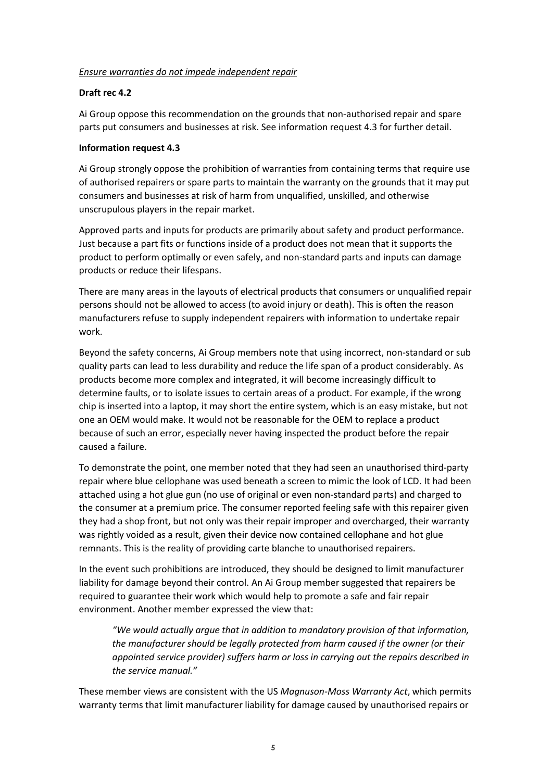## *Ensure warranties do not impede independent repair*

## **Draft rec 4.2**

Ai Group oppose this recommendation on the grounds that non-authorised repair and spare parts put consumers and businesses at risk. See information request 4.3 for further detail.

## **Information request 4.3**

Ai Group strongly oppose the prohibition of warranties from containing terms that require use of authorised repairers or spare parts to maintain the warranty on the grounds that it may put consumers and businesses at risk of harm from unqualified, unskilled, and otherwise unscrupulous players in the repair market.

Approved parts and inputs for products are primarily about safety and product performance. Just because a part fits or functions inside of a product does not mean that it supports the product to perform optimally or even safely, and non-standard parts and inputs can damage products or reduce their lifespans.

There are many areas in the layouts of electrical products that consumers or unqualified repair persons should not be allowed to access (to avoid injury or death). This is often the reason manufacturers refuse to supply independent repairers with information to undertake repair work.

Beyond the safety concerns, Ai Group members note that using incorrect, non-standard or sub quality parts can lead to less durability and reduce the life span of a product considerably. As products become more complex and integrated, it will become increasingly difficult to determine faults, or to isolate issues to certain areas of a product. For example, if the wrong chip is inserted into a laptop, it may short the entire system, which is an easy mistake, but not one an OEM would make. It would not be reasonable for the OEM to replace a product because of such an error, especially never having inspected the product before the repair caused a failure.

To demonstrate the point, one member noted that they had seen an unauthorised third-party repair where blue cellophane was used beneath a screen to mimic the look of LCD. It had been attached using a hot glue gun (no use of original or even non-standard parts) and charged to the consumer at a premium price. The consumer reported feeling safe with this repairer given they had a shop front, but not only was their repair improper and overcharged, their warranty was rightly voided as a result, given their device now contained cellophane and hot glue remnants. This is the reality of providing carte blanche to unauthorised repairers.

In the event such prohibitions are introduced, they should be designed to limit manufacturer liability for damage beyond their control. An Ai Group member suggested that repairers be required to guarantee their work which would help to promote a safe and fair repair environment. Another member expressed the view that:

*"We would actually argue that in addition to mandatory provision of that information, the manufacturer should be legally protected from harm caused if the owner (or their appointed service provider) suffers harm or loss in carrying out the repairs described in the service manual."*

These member views are consistent with the US *Magnuson-Moss Warranty Act*, which permits warranty terms that limit manufacturer liability for damage caused by unauthorised repairs or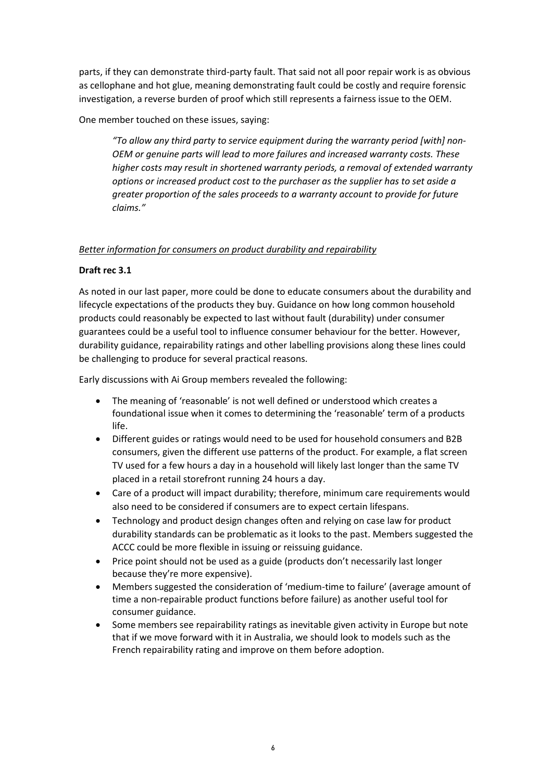parts, if they can demonstrate third-party fault. That said not all poor repair work is as obvious as cellophane and hot glue, meaning demonstrating fault could be costly and require forensic investigation, a reverse burden of proof which still represents a fairness issue to the OEM.

One member touched on these issues, saying:

*"To allow any third party to service equipment during the warranty period [with] non-OEM or genuine parts will lead to more failures and increased warranty costs. These higher costs may result in shortened warranty periods, a removal of extended warranty options or increased product cost to the purchaser as the supplier has to set aside a greater proportion of the sales proceeds to a warranty account to provide for future claims."*

# *Better information for consumers on product durability and repairability*

## **Draft rec 3.1**

As noted in our last paper, more could be done to educate consumers about the durability and lifecycle expectations of the products they buy. Guidance on how long common household products could reasonably be expected to last without fault (durability) under consumer guarantees could be a useful tool to influence consumer behaviour for the better. However, durability guidance, repairability ratings and other labelling provisions along these lines could be challenging to produce for several practical reasons.

Early discussions with Ai Group members revealed the following:

- The meaning of 'reasonable' is not well defined or understood which creates a foundational issue when it comes to determining the 'reasonable' term of a products life.
- Different guides or ratings would need to be used for household consumers and B2B consumers, given the different use patterns of the product. For example, a flat screen TV used for a few hours a day in a household will likely last longer than the same TV placed in a retail storefront running 24 hours a day.
- Care of a product will impact durability; therefore, minimum care requirements would also need to be considered if consumers are to expect certain lifespans.
- Technology and product design changes often and relying on case law for product durability standards can be problematic as it looks to the past. Members suggested the ACCC could be more flexible in issuing or reissuing guidance.
- Price point should not be used as a guide (products don't necessarily last longer because they're more expensive).
- Members suggested the consideration of 'medium-time to failure' (average amount of time a non-repairable product functions before failure) as another useful tool for consumer guidance.
- Some members see repairability ratings as inevitable given activity in Europe but note that if we move forward with it in Australia, we should look to models such as the French repairability rating and improve on them before adoption.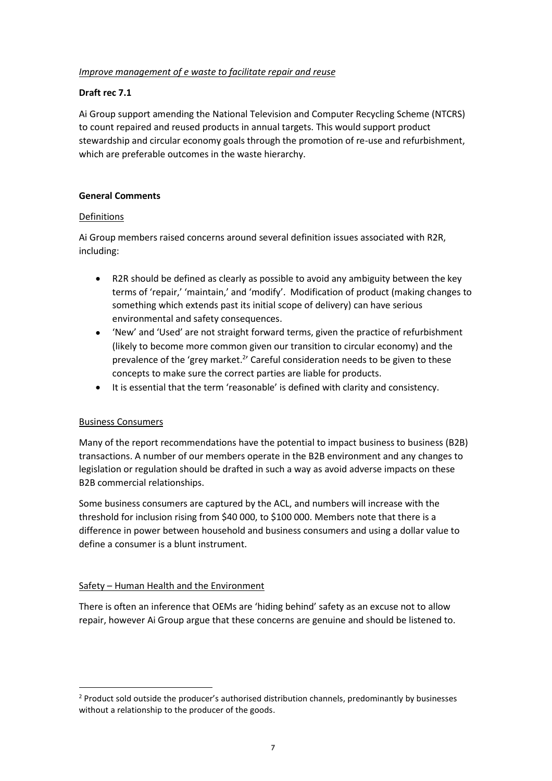## *Improve management of e waste to facilitate repair and reuse*

## **Draft rec 7.1**

Ai Group support amending the National Television and Computer Recycling Scheme (NTCRS) to count repaired and reused products in annual targets. This would support product stewardship and circular economy goals through the promotion of re-use and refurbishment, which are preferable outcomes in the waste hierarchy.

## **General Comments**

## Definitions

Ai Group members raised concerns around several definition issues associated with R2R, including:

- R2R should be defined as clearly as possible to avoid any ambiguity between the key terms of 'repair,' 'maintain,' and 'modify'. Modification of product (making changes to something which extends past its initial scope of delivery) can have serious environmental and safety consequences.
- 'New' and 'Used' are not straight forward terms, given the practice of refurbishment (likely to become more common given our transition to circular economy) and the prevalence of the 'grey market.<sup>2</sup>' Careful consideration needs to be given to these concepts to make sure the correct parties are liable for products.
- It is essential that the term 'reasonable' is defined with clarity and consistency.

# Business Consumers

Many of the report recommendations have the potential to impact business to business (B2B) transactions. A number of our members operate in the B2B environment and any changes to legislation or regulation should be drafted in such a way as avoid adverse impacts on these B2B commercial relationships.

Some business consumers are captured by the ACL, and numbers will increase with the threshold for inclusion rising from \$40 000, to \$100 000. Members note that there is a difference in power between household and business consumers and using a dollar value to define a consumer is a blunt instrument.

### Safety – Human Health and the Environment

There is often an inference that OEMs are 'hiding behind' safety as an excuse not to allow repair, however Ai Group argue that these concerns are genuine and should be listened to.

<sup>&</sup>lt;sup>2</sup> Product sold outside the producer's authorised distribution channels, predominantly by businesses without a relationship to the producer of the goods.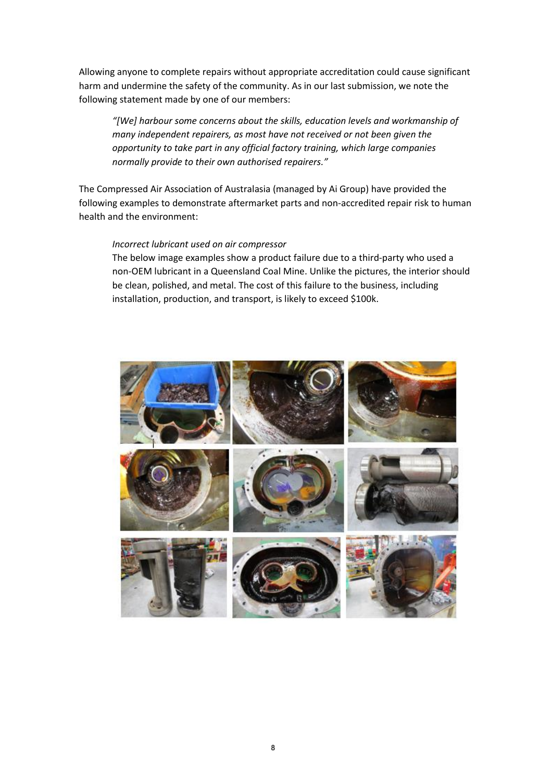Allowing anyone to complete repairs without appropriate accreditation could cause significant harm and undermine the safety of the community. As in our last submission, we note the following statement made by one of our members:

*"[We] harbour some concerns about the skills, education levels and workmanship of many independent repairers, as most have not received or not been given the opportunity to take part in any official factory training, which large companies normally provide to their own authorised repairers."* 

The Compressed Air Association of Australasia (managed by Ai Group) have provided the following examples to demonstrate aftermarket parts and non-accredited repair risk to human health and the environment:

#### *Incorrect lubricant used on air compressor*

The below image examples show a product failure due to a third-party who used a non-OEM lubricant in a Queensland Coal Mine. Unlike the pictures, the interior should be clean, polished, and metal. The cost of this failure to the business, including installation, production, and transport, is likely to exceed \$100k.

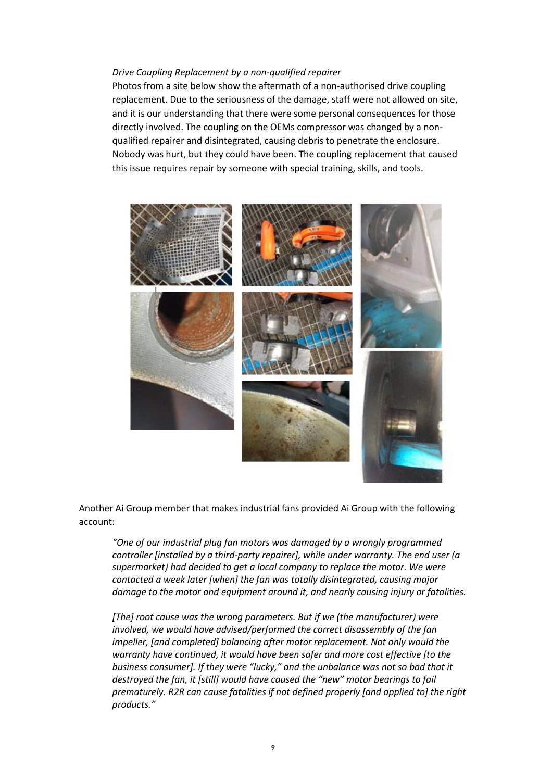#### *Drive Coupling Replacement by a non-qualified repairer*

Photos from a site below show the aftermath of a non-authorised drive coupling replacement. Due to the seriousness of the damage, staff were not allowed on site, and it is our understanding that there were some personal consequences for those directly involved. The coupling on the OEMs compressor was changed by a nonqualified repairer and disintegrated, causing debris to penetrate the enclosure. Nobody was hurt, but they could have been. The coupling replacement that caused this issue requires repair by someone with special training, skills, and tools.



Another Ai Group member that makes industrial fans provided Ai Group with the following account:

*"One of our industrial plug fan motors was damaged by a wrongly programmed controller [installed by a third-party repairer], while under warranty. The end user (a supermarket) had decided to get a local company to replace the motor. We were contacted a week later [when] the fan was totally disintegrated, causing major damage to the motor and equipment around it, and nearly causing injury or fatalities.* 

*[The] root cause was the wrong parameters. But if we (the manufacturer) were involved, we would have advised/performed the correct disassembly of the fan impeller, [and completed] balancing after motor replacement. Not only would the warranty have continued, it would have been safer and more cost effective [to the business consumer]. If they were "lucky," and the unbalance was not so bad that it destroyed the fan, it [still] would have caused the "new" motor bearings to fail prematurely. R2R can cause fatalities if not defined properly [and applied to] the right products."*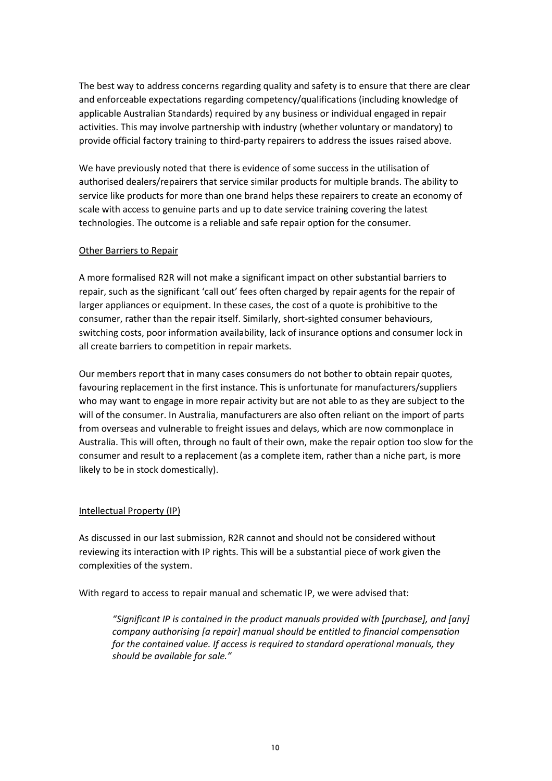The best way to address concerns regarding quality and safety is to ensure that there are clear and enforceable expectations regarding competency/qualifications (including knowledge of applicable Australian Standards) required by any business or individual engaged in repair activities. This may involve partnership with industry (whether voluntary or mandatory) to provide official factory training to third-party repairers to address the issues raised above.

We have previously noted that there is evidence of some success in the utilisation of authorised dealers/repairers that service similar products for multiple brands. The ability to service like products for more than one brand helps these repairers to create an economy of scale with access to genuine parts and up to date service training covering the latest technologies. The outcome is a reliable and safe repair option for the consumer.

## Other Barriers to Repair

A more formalised R2R will not make a significant impact on other substantial barriers to repair, such as the significant 'call out' fees often charged by repair agents for the repair of larger appliances or equipment. In these cases, the cost of a quote is prohibitive to the consumer, rather than the repair itself. Similarly, short-sighted consumer behaviours, switching costs, poor information availability, lack of insurance options and consumer lock in all create barriers to competition in repair markets.

Our members report that in many cases consumers do not bother to obtain repair quotes, favouring replacement in the first instance. This is unfortunate for manufacturers/suppliers who may want to engage in more repair activity but are not able to as they are subject to the will of the consumer. In Australia, manufacturers are also often reliant on the import of parts from overseas and vulnerable to freight issues and delays, which are now commonplace in Australia. This will often, through no fault of their own, make the repair option too slow for the consumer and result to a replacement (as a complete item, rather than a niche part, is more likely to be in stock domestically).

# Intellectual Property (IP)

As discussed in our last submission, R2R cannot and should not be considered without reviewing its interaction with IP rights. This will be a substantial piece of work given the complexities of the system.

With regard to access to repair manual and schematic IP, we were advised that:

*"Significant IP is contained in the product manuals provided with [purchase], and [any] company authorising [a repair] manual should be entitled to financial compensation for the contained value. If access is required to standard operational manuals, they should be available for sale."*